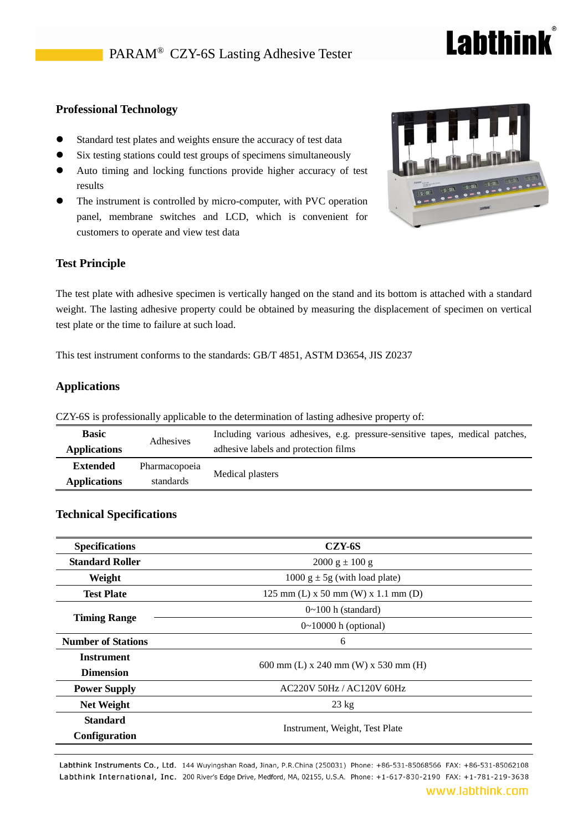## **Labthink**

#### **Professional Technology**

- Standard test plates and weights ensure the accuracy of test data
- Six testing stations could test groups of specimens simultaneously
- Auto timing and locking functions provide higher accuracy of test results
- The instrument is controlled by micro-computer, with PVC operation panel, membrane switches and LCD, which is convenient for customers to operate and view test data

### **Test Principle**

The test plate with adhesive specimen is vertically hanged on the stand and its bottom is attached with a standard weight. The lasting adhesive property could be obtained by measuring the displacement of specimen on vertical test plate or the time to failure at such load.

This test instrument conforms to the standards: GB/T 4851, ASTM D3654, JIS Z0237

#### **Applications**

| <b>Basic</b> | Adhesives           | Including various adhesives, e.g. pressure-sensitive tapes, medical patches, |                                      |
|--------------|---------------------|------------------------------------------------------------------------------|--------------------------------------|
|              | <b>Applications</b> |                                                                              | adhesive labels and protection films |
|              | <b>Extended</b>     | Pharmacopoeia                                                                | Medical plasters                     |
|              | <b>Applications</b> | standards                                                                    |                                      |

CZY-6S is professionally applicable to the determination of lasting adhesive property of:

#### **Technical Specifications**

| <b>Specifications</b>     | CZY-6S                                |
|---------------------------|---------------------------------------|
| <b>Standard Roller</b>    | $2000 \text{ g} \pm 100 \text{ g}$    |
| Weight                    | 1000 $g \pm 5g$ (with load plate)     |
| <b>Test Plate</b>         | $125$ mm (L) x 50 mm (W) x 1.1 mm (D) |
|                           | $0 \sim 100$ h (standard)             |
| <b>Timing Range</b>       | $0 \sim 10000$ h (optional)           |
| <b>Number of Stations</b> | 6                                     |
| <b>Instrument</b>         |                                       |
| <b>Dimension</b>          | 600 mm (L) x 240 mm (W) x 530 mm (H)  |
| <b>Power Supply</b>       | AC220V 50Hz / AC120V 60Hz             |
| <b>Net Weight</b>         | $23 \text{ kg}$                       |
| <b>Standard</b>           |                                       |
| Configuration             | Instrument, Weight, Test Plate        |

Labthink Instruments Co., Ltd. 144 Wuyingshan Road, Jinan, P.R.China (250031) Phone: +86-531-85068566 FAX: +86-531-85062108 Labthink International, Inc. 200 River's Edge Drive, Medford, MA, 02155, U.S.A. Phone: +1-617-830-2190 FAX: +1-781-219-3638